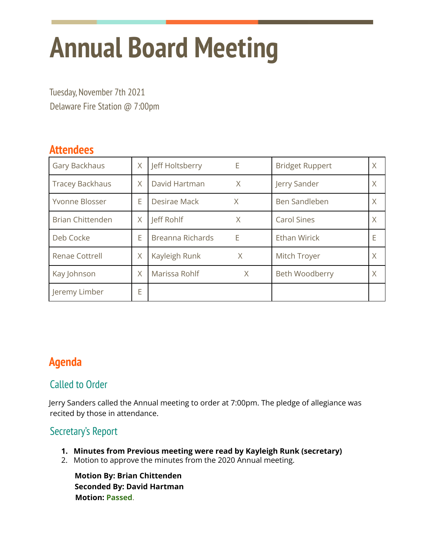# **Annual Board Meeting**

Tuesday, November 7th 2021 Delaware Fire Station @ 7:00pm

## **Attendees**

| Gary Backhaus           | X | Jeff Holtsberry         | Е | <b>Bridget Ruppert</b> | X |
|-------------------------|---|-------------------------|---|------------------------|---|
| <b>Tracey Backhaus</b>  | X | David Hartman           | X | Jerry Sander           | X |
| Yvonne Blosser          | E | Desirae Mack            | X | Ben Sandleben          | X |
| <b>Brian Chittenden</b> | X | Jeff Rohlf              | X | <b>Carol Sines</b>     | X |
| Deb Cocke               | Ë | <b>Breanna Richards</b> | Е | <b>Ethan Wirick</b>    | Е |
| <b>Renae Cottrell</b>   | X | Kayleigh Runk           | X | Mitch Troyer           | X |
| Kay Johnson             | X | Marissa Rohlf           | X | Beth Woodberry         | X |
| Jeremy Limber           | E |                         |   |                        |   |

## **Agenda**

#### Called to Order

Jerry Sanders called the Annual meeting to order at 7:00pm. The pledge of allegiance was recited by those in attendance.

### Secretary's Report

- **1. Minutes from Previous meeting were read by Kayleigh Runk (secretary)**
- 2. Motion to approve the minutes from the 2020 Annual meeting.

**Motion By: Brian Chittenden Seconded By: David Hartman Motion: Passed**.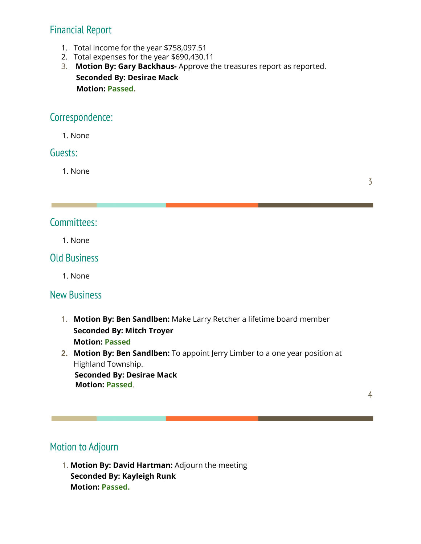## Financial Report

- 1. Total income for the year \$758,097.51
- 2. Total expenses for the year \$690,430.11

3. **Motion By: Gary Backhaus-** Approve the treasures report as reported. **Seconded By: Desirae Mack Motion: Passed.**

#### Correspondence:

1. None

#### Guests:

1. None

3

#### Committees:

1. None

#### Old Business

1. None

#### New Business

- 1. **Motion By: Ben Sandlben:** Make Larry Retcher a lifetime board member **Seconded By: Mitch Troyer Motion: Passed**
- **2. Motion By: Ben Sandlben:** To appoint Jerry Limber to a one year position at Highland Township.

**Seconded By: Desirae Mack Motion: Passed**.

4

## Motion to Adjourn

1. **Motion By: David Hartman:** Adjourn the meeting **Seconded By: Kayleigh Runk Motion: Passed.**